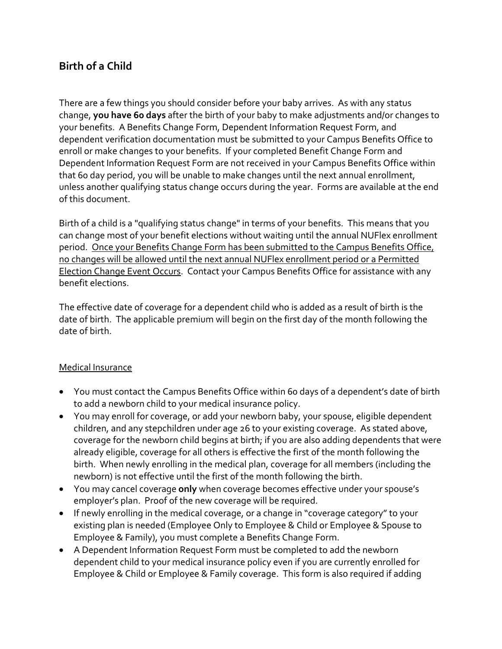# **Birth of a Child**

There are a few things you should consider before your baby arrives. As with any status change, **you have 60 days** after the birth of your baby to make adjustments and/or changes to your benefits. A Benefits Change Form, Dependent Information Request Form, and dependent verification documentation must be submitted to your Campus Benefits Office to enroll or make changes to your benefits. If your completed Benefit Change Form and Dependent Information Request Form are not received in your Campus Benefits Office within that 60 day period, you will be unable to make changes until the next annual enrollment, unless another qualifying status change occurs during the year. Forms are available at the end of this document.

Birth of a child is a "qualifying status change" in terms of your benefits. This means that you can change most of your benefit elections without waiting until the annual NUFlex enrollment period. Once your Benefits Change Form has been submitted to the Campus Benefits Office, no changes will be allowed until the next annual NUFlex enrollment period or a Permitted Election Change Event Occurs. Contact your Campus Benefits Office for assistance with any benefit elections.

The effective date of coverage for a dependent child who is added as a result of birth is the date of birth. The applicable premium will begin on the first day of the month following the date of birth.

#### Medical Insurance

- You must contact the Campus Benefits Office within 60 days of a dependent's date of birth to add a newborn child to your medical insurance policy.
- You may enroll for coverage, or add your newborn baby, your spouse, eligible dependent children, and any stepchildren under age 26 to your existing coverage. As stated above, coverage for the newborn child begins at birth; if you are also adding dependents that were already eligible, coverage for all others is effective the first of the month following the birth. When newly enrolling in the medical plan, coverage for all members (including the newborn) is not effective until the first of the month following the birth.
- You may cancel coverage **only** when coverage becomes effective under your spouse's employer's plan. Proof of the new coverage will be required.
- If newly enrolling in the medical coverage, or a change in "coverage category" to your existing plan is needed (Employee Only to Employee & Child or Employee & Spouse to Employee & Family), you must complete a Benefits Change Form.
- A Dependent Information Request Form must be completed to add the newborn dependent child to your medical insurance policy even if you are currently enrolled for Employee & Child or Employee & Family coverage. This form is also required if adding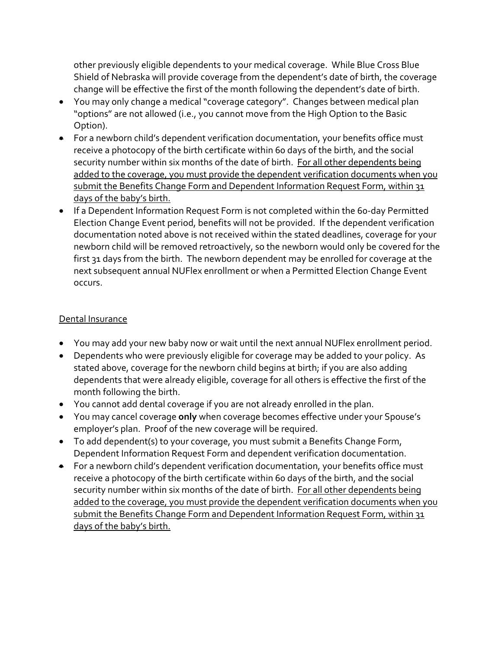other previously eligible dependents to your medical coverage. While Blue Cross Blue Shield of Nebraska will provide coverage from the dependent's date of birth, the coverage change will be effective the first of the month following the dependent's date of birth.

- You may only change a medical"coverage category". Changes between medical plan "options" are not allowed (i.e., you cannot move from the High Option to the Basic Option).
- For a newborn child's dependent verification documentation, your benefits office must receive a photocopy of the birth certificate within 60 days of the birth, and the social security number within six months of the date of birth. For all other dependents being added to the coverage, you must provide the dependent verification documents when you submit the Benefits Change Form and Dependent Information Request Form, within 31 days of the baby's birth.
- If a Dependent Information Request Form is not completed within the 60-day Permitted Election Change Event period, benefits will not be provided. If the dependent verification documentation noted above is not received within the stated deadlines, coverage for your newborn child will be removed retroactively, so the newborn would only be covered for the first 31 days from the birth. The newborn dependent may be enrolled for coverage at the next subsequent annual NUFlex enrollment or when a Permitted Election Change Event occurs.

#### Dental Insurance

- You may add your new baby now or wait until the next annual NUFlex enrollment period.
- Dependents who were previously eligible for coverage may be added to your policy. As stated above, coverage for the newborn child begins at birth; if you are also adding dependents that were already eligible, coverage for all others is effective the first of the month following the birth.
- You cannot add dental coverage if you are not already enrolled in the plan.
- You may cancel coverage **only** when coverage becomes effective under your Spouse's employer's plan. Proof of the new coverage will be required.
- To add dependent(s) to your coverage, you must submit a Benefits Change Form, Dependent Information Request Form and dependent verification documentation.
- For a newborn child's dependent verification documentation, your benefits office must receive a photocopy of the birth certificate within 60 days of the birth, and the social security number within six months of the date of birth. For all other dependents being added to the coverage, you must provide the dependent verification documents when you submit the Benefits Change Form and Dependent Information Request Form, within 31 days of the baby's birth.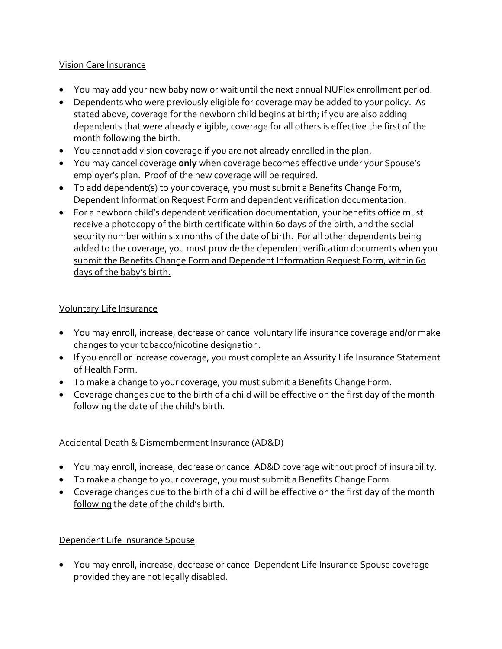#### Vision Care Insurance

- You may add your new baby now or wait until the next annual NUFlex enrollment period.
- Dependents who were previously eligible for coverage may be added to your policy. As stated above, coverage for the newborn child begins at birth; if you are also adding dependents that were already eligible, coverage for all others is effective the first of the month following the birth.
- You cannot add vision coverage if you are not already enrolled in the plan.
- You may cancel coverage **only** when coverage becomes effective under your Spouse's employer's plan. Proof of the new coverage will be required.
- To add dependent(s) to your coverage, you must submit a Benefits Change Form, Dependent Information Request Form and dependent verification documentation.
- For a newborn child's dependent verification documentation, your benefits office must receive a photocopy of the birth certificate within 60 days of the birth, and the social security number within six months of the date of birth. For all other dependents being added to the coverage, you must provide the dependent verification documents when you submit the Benefits Change Form and Dependent Information Request Form, within 60 days of the baby's birth.

#### Voluntary Life Insurance

- You may enroll, increase, decrease or cancel voluntary life insurance coverage and/or make changes to your tobacco/nicotine designation.
- If you enroll or increase coverage, you must complete an Assurity Life Insurance Statement of Health Form.
- To make a change to your coverage, you must submit a Benefits Change Form.
- Coverage changes due to the birth of a child will be effective on the first day of the month following the date of the child's birth.

### Accidental Death & Dismemberment Insurance (AD&D)

- You may enroll, increase, decrease or cancel AD&D coverage without proof of insurability.
- To make a change to your coverage, you must submit a Benefits Change Form.
- Coverage changes due to the birth of a child will be effective on the first day of the month following the date of the child's birth.

### Dependent Life Insurance Spouse

 You may enroll, increase, decrease or cancel Dependent Life Insurance Spouse coverage provided they are not legally disabled.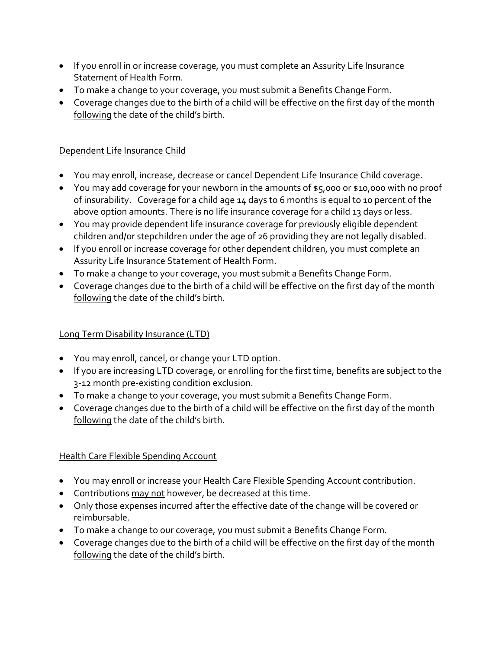- If you enroll in or increase coverage, you must complete an Assurity Life Insurance Statement of Health Form.
- To make a change to your coverage, you must submit a Benefits Change Form.
- Coverage changes due to the birth of a child will be effective on the first day of the month following the date of the child's birth.

### Dependent Life Insurance Child

- You may enroll, increase, decrease or cancel Dependent Life Insurance Child coverage.
- You may add coverage for your newborn in the amounts of \$5,000 or \$10,000 with no proof of insurability. Coverage for a child age 14 days to 6 months is equal to 10 percent of the above option amounts. There is no life insurance coverage for a child 13 days or less.
- You may provide dependent life insurance coverage for previously eligible dependent children and/or stepchildren under the age of 26 providing they are not legally disabled.
- If you enroll or increase coverage for other dependent children, you must complete an Assurity Life Insurance Statement of Health Form.
- To make a change to your coverage, you must submit a Benefits Change Form.
- Coverage changes due to the birth of a child will be effective on the first day of the month following the date of the child's birth.

### Long Term Disability Insurance (LTD)

- You may enroll, cancel, or change your LTD option.
- If you are increasing LTD coverage, or enrolling for the first time, benefits are subject to the 3‐12 month pre‐existing condition exclusion.
- To make a change to your coverage, you must submit a Benefits Change Form.
- Coverage changes due to the birth of a child will be effective on the first day of the month following the date of the child's birth.

## Health Care Flexible Spending Account

- You may enroll or increase your Health Care Flexible Spending Account contribution.
- Contributions may not however, be decreased at this time.
- Only those expenses incurred after the effective date of the change will be covered or reimbursable.
- To make a change to our coverage, you must submit a Benefits Change Form.
- Coverage changes due to the birth of a child will be effective on the first day of the month following the date of the child's birth.